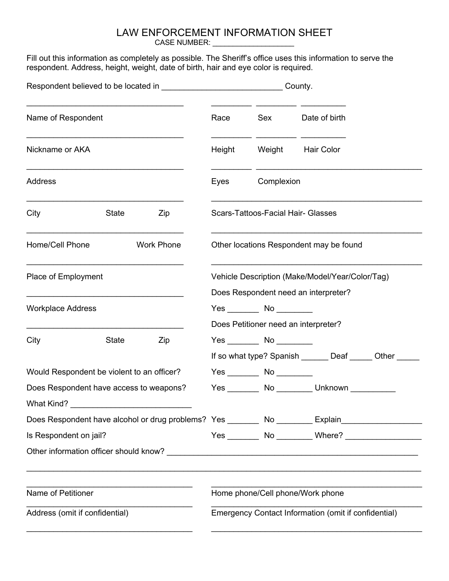## LAW ENFORCEMENT INFORMATION SHEET

CASE NUMBER: \_\_\_\_\_\_\_\_\_\_\_\_\_\_\_\_\_\_\_\_

Fill out this information as completely as possible. The Sheriff's office uses this information to serve the respondent. Address, height, weight, date of birth, hair and eye color is required.

|                                                                                                     |       | County.                                                                                 |                                         |                                           |                                                         |  |
|-----------------------------------------------------------------------------------------------------|-------|-----------------------------------------------------------------------------------------|-----------------------------------------|-------------------------------------------|---------------------------------------------------------|--|
| Name of Respondent                                                                                  |       | Race                                                                                    | Sex                                     | Date of birth                             |                                                         |  |
| Nickname or AKA                                                                                     |       | Height                                                                                  | Weight Hair Color                       |                                           |                                                         |  |
| Address                                                                                             |       | Eyes                                                                                    |                                         | Complexion                                |                                                         |  |
| City                                                                                                | State | Zip                                                                                     | Scars-Tattoos-Facial Hair- Glasses      |                                           |                                                         |  |
| Home/Cell Phone<br><b>Work Phone</b>                                                                |       |                                                                                         | Other locations Respondent may be found |                                           |                                                         |  |
| Place of Employment                                                                                 |       | Vehicle Description (Make/Model/Year/Color/Tag)<br>Does Respondent need an interpreter? |                                         |                                           |                                                         |  |
| <b>Workplace Address</b>                                                                            |       | $Yes$ No $\qquad \qquad$ No $\qquad \qquad$<br>Does Petitioner need an interpreter?     |                                         |                                           |                                                         |  |
| City                                                                                                | State | Zip                                                                                     |                                         | $Yes \qquad No \qquad \qquad$             | If so what type? Spanish _______ Deaf ______ Other ____ |  |
| Would Respondent be violent to an officer?                                                          |       |                                                                                         |                                         |                                           |                                                         |  |
| Does Respondent have access to weapons?<br>What Kind?                                               |       |                                                                                         |                                         | Yes ________ No ________ Unknown ________ |                                                         |  |
| Does Respondent have alcohol or drug problems? Yes _________ No ________ Explain___________________ |       |                                                                                         |                                         |                                           |                                                         |  |
| Is Respondent on jail?                                                                              |       |                                                                                         |                                         |                                           |                                                         |  |
|                                                                                                     |       |                                                                                         |                                         |                                           |                                                         |  |
| Name of Petitioner                                                                                  |       |                                                                                         | Home phone/Cell phone/Work phone        |                                           |                                                         |  |
| Address (omit if confidential)                                                                      |       | Emergency Contact Information (omit if confidential)                                    |                                         |                                           |                                                         |  |